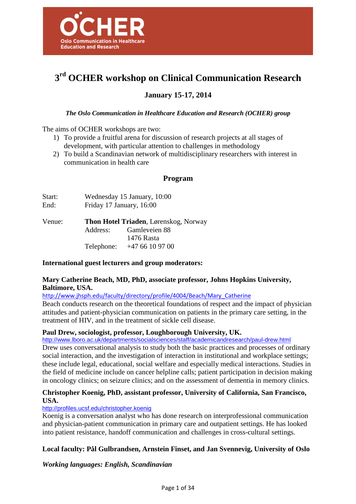

# **3 rd OCHER workshop on Clinical Communication Research**

## **January 15-17, 2014**

## *The Oslo Communication in Healthcare Education and Research (OCHER) group*

The aims of OCHER workshops are two:

- 1) To provide a fruitful arena for discussion of research projects at all stages of development, with particular attention to challenges in methodology
- 2) To build a Scandinavian network of multidisciplinary researchers with interest in communication in health care

## **Program**

| Start:<br>End: | Wednesday 15 January, 10:00<br>Friday 17 January, 16:00 |                                                                             |  |
|----------------|---------------------------------------------------------|-----------------------------------------------------------------------------|--|
| Venue:         | Address:                                                | <b>Thon Hotel Triaden, Lørenskog, Norway</b><br>Gamleveien 88<br>1476 Rasta |  |
|                | Telephone:                                              | $+4766109700$                                                               |  |

## **International guest lecturers and group moderators:**

## **Mary Catherine Beach, MD, PhD, associate professor, Johns Hopkins University, Baltimore, USA.**

http://www.jhsph.edu/faculty/directory/profile/4004/Beach/Mary\_Catherine

Beach conducts research on the theoretical foundations of respect and the impact of physician attitudes and patient-physician communication on patients in the primary care setting, in the treatment of HIV, and in the treatment of sickle cell disease.

## **Paul Drew, sociologist, professor, Loughborough University, UK.**

http://www.lboro.ac.uk/departments/socialsciences/staff/academicandresearch/paul-drew.html

Drew uses conversational analysis to study both the basic practices and processes of ordinary social interaction, and the investigation of interaction in institutional and workplace settings; these include legal, educational, social welfare and especially medical interactions. Studies in the field of medicine include on cancer helpline calls; patient participation in decision making in oncology clinics; on seizure clinics; and on the assessment of dementia in memory clinics.

## **Christopher Koenig, PhD, assistant professor, University of California, San Francisco, USA.**

#### http://profiles.ucsf.edu/christopher.koenig

Koenig is a conversation analyst who has done research on interprofessional communication and physician-patient communication in primary care and outpatient settings. He has looked into patient resistance, handoff communication and challenges in cross-cultural settings.

## **Local faculty: Pål Gulbrandsen, Arnstein Finset, and Jan Svennevig, University of Oslo**

*Working languages: English, Scandinavian*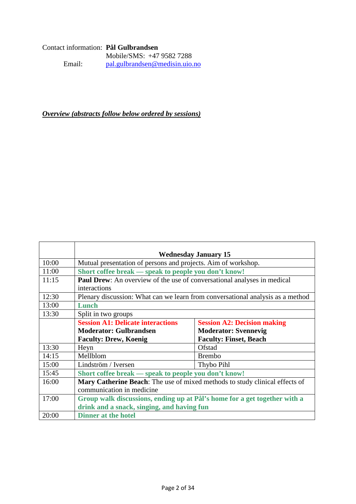## Contact information: **Pål Gulbrandsen**  Mobile/SMS: +47 9582 7288<br>Email: pal.gulbrandsen@medisin.uio. pal.gulbrandsen@medisin.uio.no

*Overview (abstracts follow below ordered by sessions)*

|       | <b>Wednesday January 15</b>                                                        |                                    |  |
|-------|------------------------------------------------------------------------------------|------------------------------------|--|
| 10:00 | Mutual presentation of persons and projects. Aim of workshop.                      |                                    |  |
| 11:00 | Short coffee break — speak to people you don't know!                               |                                    |  |
| 11:15 | <b>Paul Drew:</b> An overview of the use of conversational analyses in medical     |                                    |  |
|       | interactions                                                                       |                                    |  |
| 12:30 | Plenary discussion: What can we learn from conversational analysis as a method     |                                    |  |
| 13:00 | Lunch                                                                              |                                    |  |
| 13:30 | Split in two groups                                                                |                                    |  |
|       | <b>Session A1: Delicate interactions</b>                                           | <b>Session A2: Decision making</b> |  |
|       | <b>Moderator: Gulbrandsen</b>                                                      | <b>Moderator: Svennevig</b>        |  |
|       | <b>Faculty: Drew, Koenig</b>                                                       | <b>Faculty: Finset, Beach</b>      |  |
| 13:30 | Heyn                                                                               | Ofstad                             |  |
| 14:15 | Mellblom                                                                           | <b>Brembo</b>                      |  |
| 15:00 | Lindström / Iversen                                                                | Thybo Pihl                         |  |
| 15:45 | Short coffee break — speak to people you don't know!                               |                                    |  |
| 16:00 | <b>Mary Catherine Beach:</b> The use of mixed methods to study clinical effects of |                                    |  |
|       | communication in medicine                                                          |                                    |  |
| 17:00 | Group walk discussions, ending up at Pål's home for a get together with a          |                                    |  |
|       | drink and a snack, singing, and having fun                                         |                                    |  |
| 20:00 | <b>Dinner at the hotel</b>                                                         |                                    |  |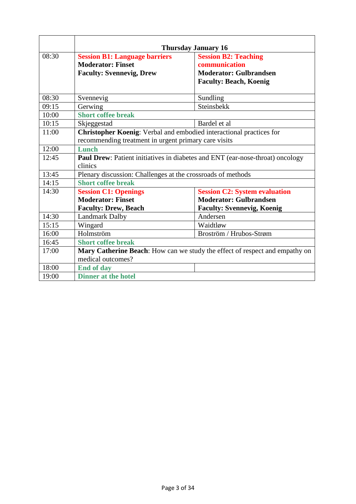|       | <b>Thursday January 16</b>                                                                                                  |                                                                                                                |  |
|-------|-----------------------------------------------------------------------------------------------------------------------------|----------------------------------------------------------------------------------------------------------------|--|
| 08:30 | <b>Session B1: Language barriers</b><br><b>Moderator: Finset</b><br><b>Faculty: Svennevig, Drew</b>                         | <b>Session B2: Teaching</b><br>communication<br><b>Moderator: Gulbrandsen</b><br><b>Faculty: Beach, Koenig</b> |  |
| 08:30 | Svennevig                                                                                                                   | Sundling                                                                                                       |  |
| 09:15 | Gerwing                                                                                                                     | Steinsbekk                                                                                                     |  |
| 10:00 | <b>Short coffee break</b>                                                                                                   |                                                                                                                |  |
| 10:15 | Skjeggestad                                                                                                                 | Bardel et al                                                                                                   |  |
| 11:00 | Christopher Koenig: Verbal and embodied interactional practices for<br>recommending treatment in urgent primary care visits |                                                                                                                |  |
| 12:00 | Lunch                                                                                                                       |                                                                                                                |  |
| 12:45 | Paul Drew: Patient initiatives in diabetes and ENT (ear-nose-throat) oncology<br>clinics                                    |                                                                                                                |  |
| 13:45 | Plenary discussion: Challenges at the crossroads of methods                                                                 |                                                                                                                |  |
| 14:15 | <b>Short coffee break</b>                                                                                                   |                                                                                                                |  |
| 14:30 | <b>Session C1: Openings</b>                                                                                                 | <b>Session C2: System evaluation</b>                                                                           |  |
|       | <b>Moderator: Finset</b>                                                                                                    | <b>Moderator: Gulbrandsen</b>                                                                                  |  |
|       | <b>Faculty: Drew, Beach</b>                                                                                                 | <b>Faculty: Svennevig, Koenig</b>                                                                              |  |
| 14:30 | <b>Landmark Dalby</b>                                                                                                       | Andersen                                                                                                       |  |
| 15:15 | Wingard                                                                                                                     | Waidtløw                                                                                                       |  |
| 16:00 | Holmström                                                                                                                   | Broström / Hrubos-Strøm                                                                                        |  |
| 16:45 | <b>Short coffee break</b>                                                                                                   |                                                                                                                |  |
| 17:00 | Mary Catherine Beach: How can we study the effect of respect and empathy on<br>medical outcomes?                            |                                                                                                                |  |
| 18:00 | <b>End of day</b>                                                                                                           |                                                                                                                |  |
| 19:00 | <b>Dinner at the hotel</b>                                                                                                  |                                                                                                                |  |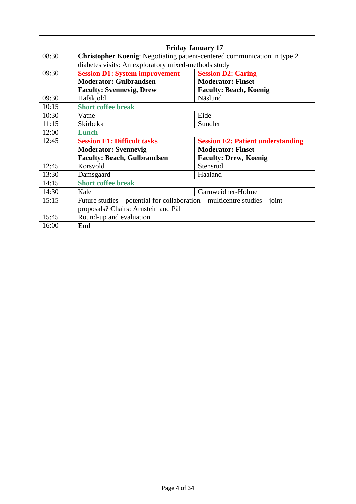|       | <b>Friday January 17</b>                                                        |                                          |  |
|-------|---------------------------------------------------------------------------------|------------------------------------------|--|
| 08:30 | <b>Christopher Koenig:</b> Negotiating patient-centered communication in type 2 |                                          |  |
|       | diabetes visits: An exploratory mixed-methods study                             |                                          |  |
| 09:30 | <b>Session D1: System improvement</b>                                           | <b>Session D2: Caring</b>                |  |
|       | <b>Moderator: Gulbrandsen</b>                                                   | <b>Moderator: Finset</b>                 |  |
|       | <b>Faculty: Svennevig, Drew</b>                                                 | <b>Faculty: Beach, Koenig</b>            |  |
| 09:30 | Hafskjold                                                                       | Näslund                                  |  |
| 10:15 | <b>Short coffee break</b>                                                       |                                          |  |
| 10:30 | Vatne                                                                           | Eide                                     |  |
| 11:15 | <b>Skirbekk</b>                                                                 | Sundler                                  |  |
| 12:00 | Lunch                                                                           |                                          |  |
| 12:45 | <b>Session E1: Difficult tasks</b>                                              | <b>Session E2: Patient understanding</b> |  |
|       | <b>Moderator: Svennevig</b>                                                     | <b>Moderator: Finset</b>                 |  |
|       | <b>Faculty: Beach, Gulbrandsen</b>                                              | <b>Faculty: Drew, Koenig</b>             |  |
| 12:45 | Korsvold                                                                        | Stensrud                                 |  |
| 13:30 | Damsgaard                                                                       | Haaland                                  |  |
| 14:15 | <b>Short coffee break</b>                                                       |                                          |  |
| 14:30 | Kale                                                                            | Garnweidner-Holme                        |  |
| 15:15 | Future studies – potential for collaboration – multicentre studies – joint      |                                          |  |
|       | proposals? Chairs: Arnstein and Pål                                             |                                          |  |
| 15:45 | Round-up and evaluation                                                         |                                          |  |
| 16:00 | End                                                                             |                                          |  |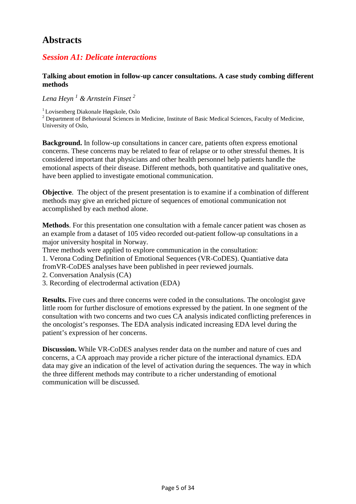## **Abstracts**

## *Session A1: Delicate interactions*

## **Talking about emotion in follow-up cancer consultations. A case study combing different methods**

*Lena Heyn <sup>1</sup> & Arnstein Finset <sup>2</sup>*

<sup>1</sup>Lovisenberg Diakonale Høgskole, Oslo

 $2$  Department of Behavioural Sciences in Medicine, Institute of Basic Medical Sciences, Faculty of Medicine, University of Oslo,

**Background.** In follow-up consultations in cancer care, patients often express emotional concerns. These concerns may be related to fear of relapse or to other stressful themes. It is considered important that physicians and other health personnel help patients handle the emotional aspects of their disease. Different methods, both quantitative and qualitative ones, have been applied to investigate emotional communication.

**Objective**. The object of the present presentation is to examine if a combination of different methods may give an enriched picture of sequences of emotional communication not accomplished by each method alone.

**Methods**. For this presentation one consultation with a female cancer patient was chosen as an example from a dataset of 105 video recorded out-patient follow-up consultations in a major university hospital in Norway.

Three methods were applied to explore communication in the consultation:

1. Verona Coding Definition of Emotional Sequences (VR-CoDES). Quantiative data fromVR-CoDES analyses have been published in peer reviewed journals.

- 2. Conversation Analysis (CA)
- 3. Recording of electrodermal activation (EDA)

**Results.** Five cues and three concerns were coded in the consultations. The oncologist gave little room for further disclosure of emotions expressed by the patient. In one segment of the consultation with two concerns and two cues CA analysis indicated conflicting preferences in the oncologist's responses. The EDA analysis indicated increasing EDA level during the patient's expression of her concerns.

**Discussion.** While VR-CoDES analyses render data on the number and nature of cues and concerns, a CA approach may provide a richer picture of the interactional dynamics. EDA data may give an indication of the level of activation during the sequences. The way in which the three different methods may contribute to a richer understanding of emotional communication will be discussed.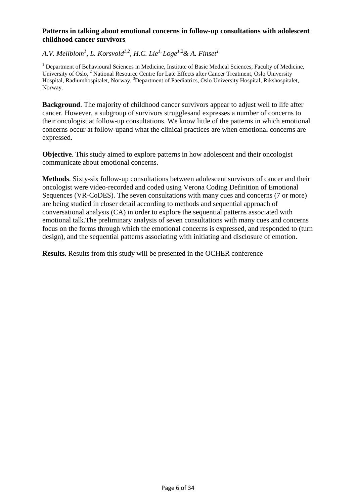## **Patterns in talking about emotional concerns in follow-up consultations with adolescent childhood cancer survivors**

## *A.V. Mellblom<sup>1</sup> , L. Korsvold1,2, H.C. Lie1, Loge1,2& A. Finset<sup>1</sup>*

<sup>1</sup> Department of Behavioural Sciences in Medicine, Institute of Basic Medical Sciences, Faculty of Medicine, University of Oslo, <sup>2</sup> National Resource Centre for Late Effects after Cancer Treatment, Oslo University Hospital, Radiumhospitalet, Norway, <sup>3</sup>Department of Paediatrics, Oslo University Hospital, Rikshospitalet, Norway.

**Background**. The majority of childhood cancer survivors appear to adjust well to life after cancer. However, a subgroup of survivors strugglesand expresses a number of concerns to their oncologist at follow-up consultations. We know little of the patterns in which emotional concerns occur at follow-upand what the clinical practices are when emotional concerns are expressed.

**Objective**. This study aimed to explore patterns in how adolescent and their oncologist communicate about emotional concerns.

**Methods**. Sixty-six follow-up consultations between adolescent survivors of cancer and their oncologist were video-recorded and coded using Verona Coding Definition of Emotional Sequences (VR-CoDES). The seven consultations with many cues and concerns (7 or more) are being studied in closer detail according to methods and sequential approach of conversational analysis (CA) in order to explore the sequential patterns associated with emotional talk.The preliminary analysis of seven consultations with many cues and concerns focus on the forms through which the emotional concerns is expressed, and responded to (turn design), and the sequential patterns associating with initiating and disclosure of emotion.

**Results.** Results from this study will be presented in the OCHER conference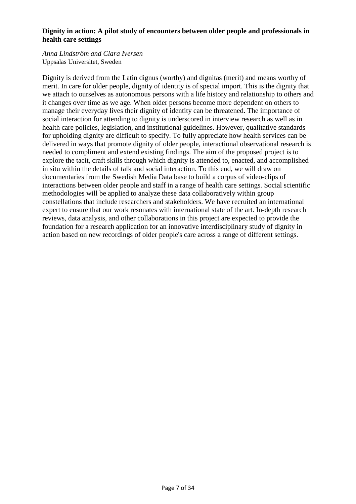## **Dignity in action: A pilot study of encounters between older people and professionals in health care settings**

### *Anna Lindström and Clara Iversen*  Uppsalas Universitet, Sweden

Dignity is derived from the Latin dignus (worthy) and dignitas (merit) and means worthy of merit. In care for older people, dignity of identity is of special import. This is the dignity that we attach to ourselves as autonomous persons with a life history and relationship to others and it changes over time as we age. When older persons become more dependent on others to manage their everyday lives their dignity of identity can be threatened. The importance of social interaction for attending to dignity is underscored in interview research as well as in health care policies, legislation, and institutional guidelines. However, qualitative standards for upholding dignity are difficult to specify. To fully appreciate how health services can be delivered in ways that promote dignity of older people, interactional observational research is needed to compliment and extend existing findings. The aim of the proposed project is to explore the tacit, craft skills through which dignity is attended to, enacted, and accomplished in situ within the details of talk and social interaction. To this end, we will draw on documentaries from the Swedish Media Data base to build a corpus of video-clips of interactions between older people and staff in a range of health care settings. Social scientific methodologies will be applied to analyze these data collaboratively within group constellations that include researchers and stakeholders. We have recruited an international expert to ensure that our work resonates with international state of the art. In-depth research reviews, data analysis, and other collaborations in this project are expected to provide the foundation for a research application for an innovative interdisciplinary study of dignity in action based on new recordings of older people's care across a range of different settings.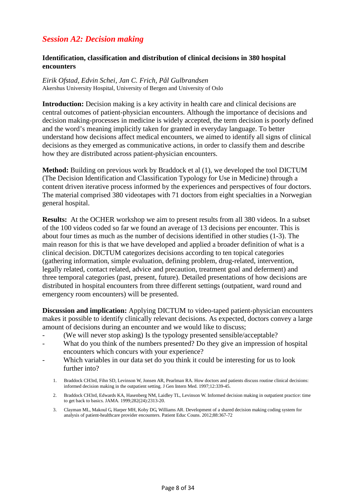## *Session A2: Decision making*

## **Identification, classification and distribution of clinical decisions in 380 hospital encounters**

*Eirik Ofstad, Edvin Schei, Jan C. Frich, Pål Gulbrandsen*  Akershus University Hospital, University of Bergen and University of Oslo

**Introduction:** Decision making is a key activity in health care and clinical decisions are central outcomes of patient-physician encounters. Although the importance of decisions and decision making-processes in medicine is widely accepted, the term decision is poorly defined and the word's meaning implicitly taken for granted in everyday language. To better understand how decisions affect medical encounters, we aimed to identify all signs of clinical decisions as they emerged as communicative actions, in order to classify them and describe how they are distributed across patient-physician encounters.

**Method:** Building on previous work by Braddock et al (1), we developed the tool DICTUM (The Decision Identification and Classification Typology for Use in Medicine) through a content driven iterative process informed by the experiences and perspectives of four doctors. The material comprised 380 videotapes with 71 doctors from eight specialties in a Norwegian general hospital.

**Results:** At the OCHER workshop we aim to present results from all 380 videos. In a subset of the 100 videos coded so far we found an average of 13 decisions per encounter. This is about four times as much as the number of decisions identified in other studies (1-3). The main reason for this is that we have developed and applied a broader definition of what is a clinical decision. DICTUM categorizes decisions according to ten topical categories (gathering information, simple evaluation, defining problem, drug-related, intervention, legally related, contact related, advice and precaution, treatment goal and deferment) and three temporal categories (past, present, future). Detailed presentations of how decisions are distributed in hospital encounters from three different settings (outpatient, ward round and emergency room encounters) will be presented.

**Discussion and implication:** Applying DICTUM to video-taped patient-physician encounters makes it possible to identify clinically relevant decisions. As expected, doctors convey a large amount of decisions during an encounter and we would like to discuss;

- (We will never stop asking) Is the typology presented sensible/acceptable?
- What do you think of the numbers presented? Do they give an impression of hospital encounters which concurs with your experience?
- Which variables in our data set do you think it could be interesting for us to look further into?
	- 1. Braddock CH3rd, Fihn SD, Levinson W, Jonsen AR, Pearlman RA. How doctors and patients discuss routine clinical decisions: informed decision making in the outpatient setting. J Gen Intern Med. 1997;12:339-45.
	- 2. Braddock CH3rd, Edwards KA, Hasenberg NM, Laidley TL, Levinson W. Informed decision making in outpatient practice: time to get back to basics. JAMA. 1999;282(24):2313-20.
	- 3. Clayman ML, Makoul G, Harper MH, Koby DG, Williams AR. Development of a shared decision making coding system for analysis of patient-healthcare provider encounters. Patient Educ Couns. 2012;88:367-72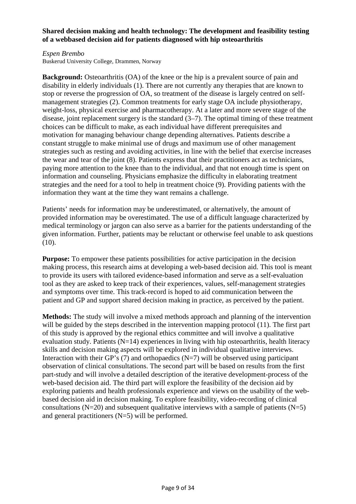## **Shared decision making and health technology: The development and feasibility testing of a webbased decision aid for patients diagnosed with hip osteoarthritis**

#### *Espen Brembo*

Buskerud University College, Drammen, Norway

**Background:** Osteoarthritis (OA) of the knee or the hip is a prevalent source of pain and disability in elderly individuals (1). There are not currently any therapies that are known to stop or reverse the progression of OA, so treatment of the disease is largely centred on selfmanagement strategies (2). Common treatments for early stage OA include physiotherapy, weight-loss, physical exercise and pharmacotherapy. At a later and more severe stage of the disease, joint replacement surgery is the standard (3–7). The optimal timing of these treatment choices can be difficult to make, as each individual have different prerequisites and motivation for managing behaviour change depending alternatives. Patients describe a constant struggle to make minimal use of drugs and maximum use of other management strategies such as resting and avoiding activities, in line with the belief that exercise increases the wear and tear of the joint (8). Patients express that their practitioners act as technicians, paying more attention to the knee than to the individual, and that not enough time is spent on information and counseling. Physicians emphasize the difficulty in elaborating treatment strategies and the need for a tool to help in treatment choice (9). Providing patients with the information they want at the time they want remains a challenge.

Patients' needs for information may be underestimated, or alternatively, the amount of provided information may be overestimated. The use of a difficult language characterized by medical terminology or jargon can also serve as a barrier for the patients understanding of the given information. Further, patients may be reluctant or otherwise feel unable to ask questions  $(10).$ 

**Purpose:** To empower these patients possibilities for active participation in the decision making process, this research aims at developing a web-based decision aid. This tool is meant to provide its users with tailored evidence-based information and serve as a self-evaluation tool as they are asked to keep track of their experiences, values, self-management strategies and symptoms over time. This track-record is hoped to aid communication between the patient and GP and support shared decision making in practice, as perceived by the patient.

**Methods:** The study will involve a mixed methods approach and planning of the intervention will be guided by the steps described in the intervention mapping protocol (11). The first part of this study is approved by the regional ethics committee and will involve a qualitative evaluation study. Patients  $(N=14)$  experiences in living with hip osteoarthritis, health literacy skills and decision making aspects will be explored in individual qualitative interviews. Interaction with their GP's (7) and orthopaedics  $(N=7)$  will be observed using participant observation of clinical consultations. The second part will be based on results from the first part-study and will involve a detailed description of the iterative development-process of the web-based decision aid. The third part will explore the feasibility of the decision aid by exploring patients and health professionals experience and views on the usability of the webbased decision aid in decision making. To explore feasibility, video-recording of clinical consultations ( $N=20$ ) and subsequent qualitative interviews with a sample of patients ( $N=5$ ) and general practitioners  $(N=5)$  will be performed.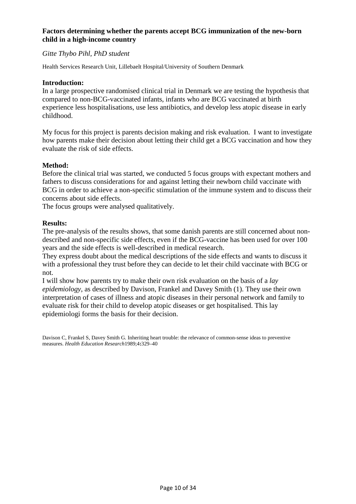## **Factors determining whether the parents accept BCG immunization of the new-born child in a high-income country**

## *Gitte Thybo Pihl, PhD student*

Health Services Research Unit, Lillebaelt Hospital/University of Southern Denmark

### **Introduction:**

In a large prospective randomised clinical trial in Denmark we are testing the hypothesis that compared to non-BCG-vaccinated infants, infants who are BCG vaccinated at birth experience less hospitalisations, use less antibiotics, and develop less atopic disease in early childhood.

My focus for this project is parents decision making and risk evaluation. I want to investigate how parents make their decision about letting their child get a BCG vaccination and how they evaluate the risk of side effects.

### **Method:**

Before the clinical trial was started, we conducted 5 focus groups with expectant mothers and fathers to discuss considerations for and against letting their newborn child vaccinate with BCG in order to achieve a non-specific stimulation of the immune system and to discuss their concerns about side effects.

The focus groups were analysed qualitatively.

### **Results:**

The pre-analysis of the results shows, that some danish parents are still concerned about nondescribed and non-specific side effects, even if the BCG-vaccine has been used for over 100 years and the side effects is well-described in medical research.

They express doubt about the medical descriptions of the side effects and wants to discuss it with a professional they trust before they can decide to let their child vaccinate with BCG or not.

I will show how parents try to make their own risk evaluation on the basis of a *lay epidemiology*, as described by Davison, Frankel and Davey Smith (1). They use their own interpretation of cases of illness and atopic diseases in their personal network and family to evaluate risk for their child to develop atopic diseases or get hospitalised. This lay epidemiologi forms the basis for their decision.

Davison C, Frankel S, Davey Smith G. Inheriting heart trouble: the relevance of common-sense ideas to preventive measures. *Health Education Research*1989;4**:**329–40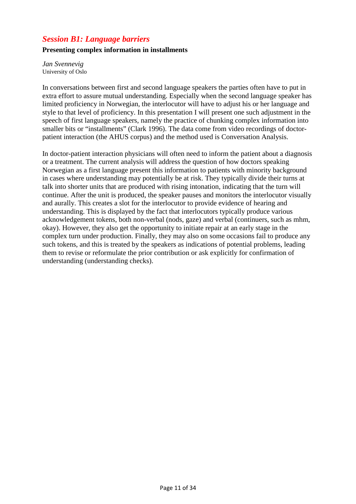## *Session B1: Language barriers*

## **Presenting complex information in installments**

*Jan Svennevig*  University of Oslo

In conversations between first and second language speakers the parties often have to put in extra effort to assure mutual understanding. Especially when the second language speaker has limited proficiency in Norwegian, the interlocutor will have to adjust his or her language and style to that level of proficiency. In this presentation I will present one such adjustment in the speech of first language speakers, namely the practice of chunking complex information into smaller bits or "installments" (Clark 1996). The data come from video recordings of doctorpatient interaction (the AHUS corpus) and the method used is Conversation Analysis.

In doctor-patient interaction physicians will often need to inform the patient about a diagnosis or a treatment. The current analysis will address the question of how doctors speaking Norwegian as a first language present this information to patients with minority background in cases where understanding may potentially be at risk. They typically divide their turns at talk into shorter units that are produced with rising intonation, indicating that the turn will continue. After the unit is produced, the speaker pauses and monitors the interlocutor visually and aurally. This creates a slot for the interlocutor to provide evidence of hearing and understanding. This is displayed by the fact that interlocutors typically produce various acknowledgement tokens, both non-verbal (nods, gaze) and verbal (continuers, such as mhm, okay). However, they also get the opportunity to initiate repair at an early stage in the complex turn under production. Finally, they may also on some occasions fail to produce any such tokens, and this is treated by the speakers as indications of potential problems, leading them to revise or reformulate the prior contribution or ask explicitly for confirmation of understanding (understanding checks).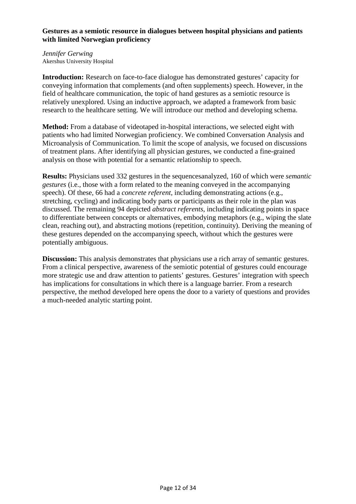## **Gestures as a semiotic resource in dialogues between hospital physicians and patients with limited Norwegian proficiency**

*Jennifer Gerwing*  Akershus University Hospital

**Introduction:** Research on face-to-face dialogue has demonstrated gestures' capacity for conveying information that complements (and often supplements) speech. However, in the field of healthcare communication, the topic of hand gestures as a semiotic resource is relatively unexplored. Using an inductive approach, we adapted a framework from basic research to the healthcare setting. We will introduce our method and developing schema.

**Method:** From a database of videotaped in-hospital interactions, we selected eight with patients who had limited Norwegian proficiency. We combined Conversation Analysis and Microanalysis of Communication. To limit the scope of analysis, we focused on discussions of treatment plans. After identifying all physician gestures, we conducted a fine-grained analysis on those with potential for a semantic relationship to speech.

**Results:** Physicians used 332 gestures in the sequencesanalyzed, 160 of which were *semantic gestures* (i.e., those with a form related to the meaning conveyed in the accompanying speech). Of these, 66 had a *concrete referent*, including demonstrating actions (e.g., stretching, cycling) and indicating body parts or participants as their role in the plan was discussed. The remaining 94 depicted *abstract referents*, including indicating points in space to differentiate between concepts or alternatives, embodying metaphors (e.g., wiping the slate clean, reaching out), and abstracting motions (repetition, continuity). Deriving the meaning of these gestures depended on the accompanying speech, without which the gestures were potentially ambiguous.

**Discussion:** This analysis demonstrates that physicians use a rich array of semantic gestures. From a clinical perspective, awareness of the semiotic potential of gestures could encourage more strategic use and draw attention to patients' gestures. Gestures' integration with speech has implications for consultations in which there is a language barrier. From a research perspective, the method developed here opens the door to a variety of questions and provides a much-needed analytic starting point.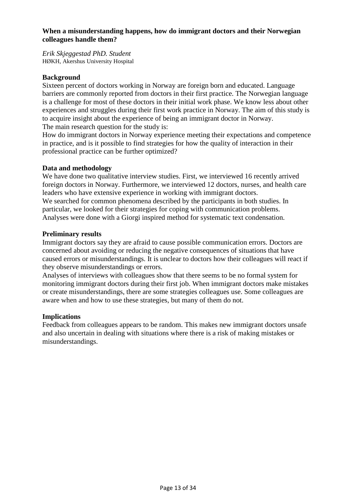## **When a misunderstanding happens, how do immigrant doctors and their Norwegian colleagues handle them?**

*Erik Skjeggestad PhD. Student*  HØKH, Akershus University Hospital

## **Background**

Sixteen percent of doctors working in Norway are foreign born and educated. Language barriers are commonly reported from doctors in their first practice. The Norwegian language is a challenge for most of these doctors in their initial work phase. We know less about other experiences and struggles during their first work practice in Norway. The aim of this study is to acquire insight about the experience of being an immigrant doctor in Norway. The main research question for the study is:

How do immigrant doctors in Norway experience meeting their expectations and competence in practice, and is it possible to find strategies for how the quality of interaction in their professional practice can be further optimized?

## **Data and methodology**

We have done two qualitative interview studies. First, we interviewed 16 recently arrived foreign doctors in Norway. Furthermore, we interviewed 12 doctors, nurses, and health care leaders who have extensive experience in working with immigrant doctors. We searched for common phenomena described by the participants in both studies. In particular, we looked for their strategies for coping with communication problems. Analyses were done with a Giorgi inspired method for systematic text condensation.

## **Preliminary results**

Immigrant doctors say they are afraid to cause possible communication errors. Doctors are concerned about avoiding or reducing the negative consequences of situations that have caused errors or misunderstandings. It is unclear to doctors how their colleagues will react if they observe misunderstandings or errors.

Analyses of interviews with colleagues show that there seems to be no formal system for monitoring immigrant doctors during their first job. When immigrant doctors make mistakes or create misunderstandings, there are some strategies colleagues use. Some colleagues are aware when and how to use these strategies, but many of them do not.

## **Implications**

Feedback from colleagues appears to be random. This makes new immigrant doctors unsafe and also uncertain in dealing with situations where there is a risk of making mistakes or misunderstandings.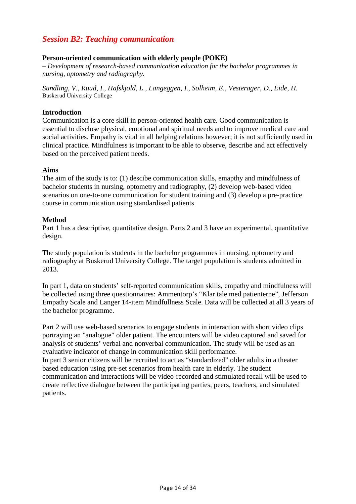## *Session B2: Teaching communication*

## **Person-oriented communication with elderly people (POKE)**

*– Development of research-based communication education for the bachelor programmes in nursing, optometry and radiography.* 

*Sundling, V., Ruud, I., Hafskjold, L., Langeggen, I., Solheim, E., Vesterager, D., Eide, H.*  Buskerud University College

#### **Introduction**

Communication is a core skill in person-oriented health care. Good communication is essential to disclose physical, emotional and spiritual needs and to improve medical care and social activities. Empathy is vital in all helping relations however; it is not sufficiently used in clinical practice. Mindfulness is important to be able to observe, describe and act effectively based on the perceived patient needs.

#### **Aims**

The aim of the study is to: (1) descibe communication skills, emapthy and mindfulness of bachelor students in nursing, optometry and radiography, (2) develop web-based video scenarios on one-to-one communication for student training and (3) develop a pre-practice course in communication using standardised patients

#### **Method**

Part 1 has a descriptive, quantitative design. Parts 2 and 3 have an experimental, quantitative design.

The study population is students in the bachelor programmes in nursing, optometry and radiography at Buskerud University College. The target population is students admitted in 2013.

In part 1, data on students' self-reported communication skills, empathy and mindfulness will be collected using three questionnaires: Ammentorp's "Klar tale med patienterne", Jefferson Empathy Scale and Langer 14-item Mindfullness Scale. Data will be collected at all 3 years of the bachelor programme.

Part 2 will use web-based scenarios to engage students in interaction with short video clips portraying an "analogue" older patient. The encounters will be video captured and saved for analysis of students' verbal and nonverbal communication. The study will be used as an evaluative indicator of change in communication skill performance.

In part 3 senior citizens will be recruited to act as "standardized" older adults in a theater based education using pre-set scenarios from health care in elderly. The student communication and interactions will be video-recorded and stimulated recall will be used to create reflective dialogue between the participating parties, peers, teachers, and simulated patients.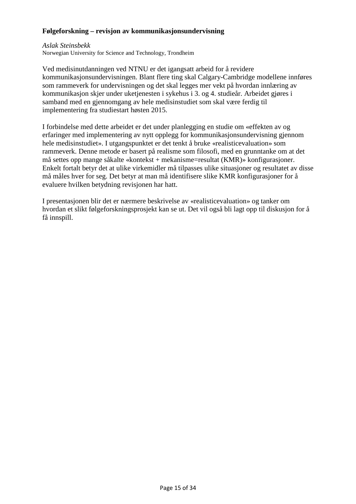## **Følgeforskning – revisjon av kommunikasjonsundervisning**

*Aslak Steinsbekk* 

Norwegian University for Science and Technology, Trondheim

Ved medisinutdanningen ved NTNU er det igangsatt arbeid for å revidere kommunikasjonsundervisningen. Blant flere ting skal Calgary-Cambridge modellene innføres som rammeverk for undervisningen og det skal legges mer vekt på hvordan innlæring av kommunikasjon skjer under uketjenesten i sykehus i 3. og 4. studieår. Arbeidet gjøres i samband med en gjennomgang av hele medisinstudiet som skal være ferdig til implementering fra studiestart høsten 2015.

I forbindelse med dette arbeidet er det under planlegging en studie om «effekten av og erfaringer med implementering av nytt opplegg for kommunikasjonsundervisning gjennom hele medisinstudiet». I utgangspunktet er det tenkt å bruke «realisticevaluation» som rammeverk. Denne metode er basert på realisme som filosofi, med en grunntanke om at det må settes opp mange såkalte «kontekst + mekanisme=resultat (KMR)» konfigurasjoner. Enkelt fortalt betyr det at ulike virkemidler må tilpasses ulike situasjoner og resultatet av disse må måles hver for seg. Det betyr at man må identifisere slike KMR konfigurasjoner for å evaluere hvilken betydning revisjonen har hatt.

I presentasjonen blir det er nærmere beskrivelse av «realisticevaluation» og tanker om hvordan et slikt følgeforskningsprosjekt kan se ut. Det vil også bli lagt opp til diskusjon for å få innspill.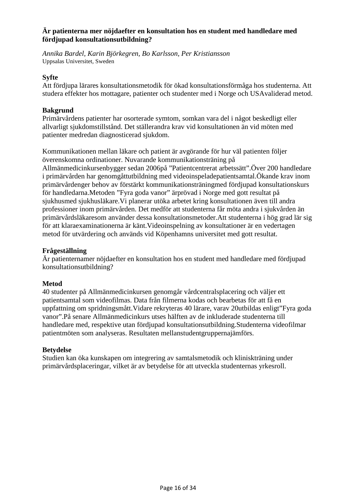## **Är patienterna mer nöjdaefter en konsultation hos en student med handledare med fördjupad konsultationsutbildning?**

*Annika Bardel, Karin Björkegren, Bo Karlsson, Per Kristiansson*  Uppsalas Universitet, Sweden

## **Syfte**

Att fördjupa lärares konsultationsmetodik för ökad konsultationsförmåga hos studenterna. Att studera effekter hos mottagare, patienter och studenter med i Norge och USAvaliderad metod.

## **Bakgrund**

Primärvårdens patienter har osorterade symtom, somkan vara del i något beskedligt eller allvarligt sjukdomstillstånd. Det ställerandra krav vid konsultationen än vid möten med patienter medredan diagnosticerad sjukdom.

Kommunikationen mellan läkare och patient är avgörande för hur väl patienten följer överenskomna ordinationer. Nuvarande kommunikationsträning på Allmänmedicinkursenbygger sedan 2006på "Patientcentrerat arbetssätt".Över 200 handledare i primärvården har genomgåttutbildning med videoinspeladepatientsamtal.Ökande krav inom primärvårdenger behov av förstärkt kommunikationsträningmed fördjupad konsultationskurs för handledarna.Metoden "Fyra goda vanor" ärprövad i Norge med gott resultat på sjukhusmed sjukhusläkare.Vi planerar utöka arbetet kring konsultationen även till andra professioner inom primärvården. Det medför att studenterna får möta andra i sjukvården än primärvårdsläkaresom använder dessa konsultationsmetoder.Att studenterna i hög grad lär sig för att klaraexaminationerna är känt.Videoinspelning av konsultationer är en vedertagen metod för utvärdering och används vid Köpenhamns universitet med gott resultat.

## **Frågeställning**

Är patienternamer nöjdaefter en konsultation hos en student med handledare med fördjupad konsultationsutbildning?

## **Metod**

40 studenter på Allmänmedicinkursen genomgår vårdcentralsplacering och väljer ett patientsamtal som videofilmas. Data från filmerna kodas och bearbetas för att få en uppfattning om spridningsmått.Vidare rekryteras 40 lärare, varav 20utbildas enligt"Fyra goda vanor".På senare Allmänmedicinkurs utses hälften av de inkluderade studenterna till handledare med, respektive utan fördjupad konsultationsutbildning.Studenterna videofilmar patientmöten som analyseras. Resultaten mellanstudentgruppernajämförs.

## **Betydelse**

Studien kan öka kunskapen om integrering av samtalsmetodik och kliniskträning under primärvårdsplaceringar, vilket är av betydelse för att utveckla studenternas yrkesroll.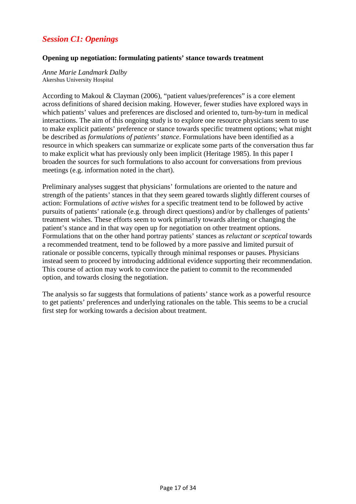## *Session C1: Openings*

## **Opening up negotiation: formulating patients' stance towards treatment**

*Anne Marie Landmark Dalby*  Akershus University Hospital

According to Makoul & Clayman (2006), "patient values/preferences" is a core element across definitions of shared decision making. However, fewer studies have explored ways in which patients' values and preferences are disclosed and oriented to, turn-by-turn in medical interactions. The aim of this ongoing study is to explore one resource physicians seem to use to make explicit patients' preference or stance towards specific treatment options; what might be described as *formulations of patients' stance*. Formulations have been identified as a resource in which speakers can summarize or explicate some parts of the conversation thus far to make explicit what has previously only been implicit (Heritage 1985). In this paper I broaden the sources for such formulations to also account for conversations from previous meetings (e.g. information noted in the chart).

Preliminary analyses suggest that physicians' formulations are oriented to the nature and strength of the patients' stances in that they seem geared towards slightly different courses of action: Formulations of *active wishes* for a specific treatment tend to be followed by active pursuits of patients' rationale (e.g. through direct questions) and/or by challenges of patients' treatment wishes. These efforts seem to work primarily towards altering or changing the patient's stance and in that way open up for negotiation on other treatment options. Formulations that on the other hand portray patients' stances as *reluctant or sceptical* towards a recommended treatment, tend to be followed by a more passive and limited pursuit of rationale or possible concerns, typically through minimal responses or pauses. Physicians instead seem to proceed by introducing additional evidence supporting their recommendation. This course of action may work to convince the patient to commit to the recommended option, and towards closing the negotiation.

The analysis so far suggests that formulations of patients' stance work as a powerful resource to get patients' preferences and underlying rationales on the table. This seems to be a crucial first step for working towards a decision about treatment.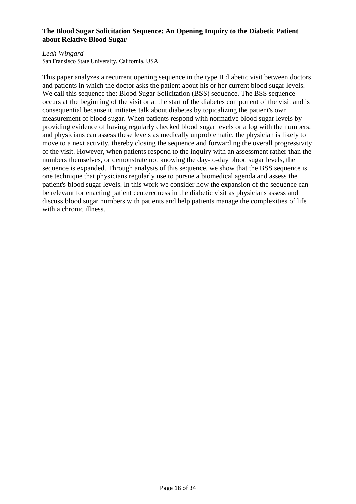## **The Blood Sugar Solicitation Sequence: An Opening Inquiry to the Diabetic Patient about Relative Blood Sugar**

#### *Leah Wingard*

San Fransisco State University, California, USA

This paper analyzes a recurrent opening sequence in the type II diabetic visit between doctors and patients in which the doctor asks the patient about his or her current blood sugar levels. We call this sequence the: Blood Sugar Solicitation (BSS) sequence. The BSS sequence occurs at the beginning of the visit or at the start of the diabetes component of the visit and is consequential because it initiates talk about diabetes by topicalizing the patient's own measurement of blood sugar. When patients respond with normative blood sugar levels by providing evidence of having regularly checked blood sugar levels or a log with the numbers, and physicians can assess these levels as medically unproblematic, the physician is likely to move to a next activity, thereby closing the sequence and forwarding the overall progressivity of the visit. However, when patients respond to the inquiry with an assessment rather than the numbers themselves, or demonstrate not knowing the day-to-day blood sugar levels, the sequence is expanded. Through analysis of this sequence, we show that the BSS sequence is one technique that physicians regularly use to pursue a biomedical agenda and assess the patient's blood sugar levels. In this work we consider how the expansion of the sequence can be relevant for enacting patient centeredness in the diabetic visit as physicians assess and discuss blood sugar numbers with patients and help patients manage the complexities of life with a chronic illness.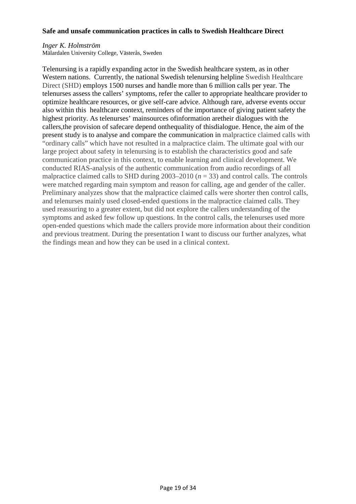## **Safe and unsafe communication practices in calls to Swedish Healthcare Direct**

## *Inger K. Holmström*

Mälardalen University College, Västerås, Sweden

Telenursing is a rapidly expanding actor in the Swedish healthcare system, as in other Western nations. Currently, the national Swedish telenursing helpline Swedish Healthcare Direct (SHD) employs 1500 nurses and handle more than 6 million calls per year. The telenurses assess the callers' symptoms, refer the caller to appropriate healthcare provider to optimize healthcare resources, or give self-care advice. Although rare, adverse events occur also within this healthcare context, reminders of the importance of giving patient safety the highest priority. As telenurses' mainsources ofinformation aretheir dialogues with the callers,the provision of safecare depend onthequality of thisdialogue. Hence, the aim of the present study is to analyse and compare the communication in malpractice claimed calls with "ordinary calls" which have not resulted in a malpractice claim. The ultimate goal with our large project about safety in telenursing is to establish the characteristics good and safe communication practice in this context, to enable learning and clinical development. We conducted RIAS-analysis of the authentic communication from audio recordings of all malpractice claimed calls to SHD during  $2003-2010$  ( $n = 33$ ) and control calls. The controls were matched regarding main symptom and reason for calling, age and gender of the caller. Preliminary analyzes show that the malpractice claimed calls were shorter then control calls, and telenurses mainly used closed-ended questions in the malpractice claimed calls. They used reassuring to a greater extent, but did not explore the callers understanding of the symptoms and asked few follow up questions. In the control calls, the telenurses used more open-ended questions which made the callers provide more information about their condition and previous treatment. During the presentation I want to discuss our further analyzes, what the findings mean and how they can be used in a clinical context.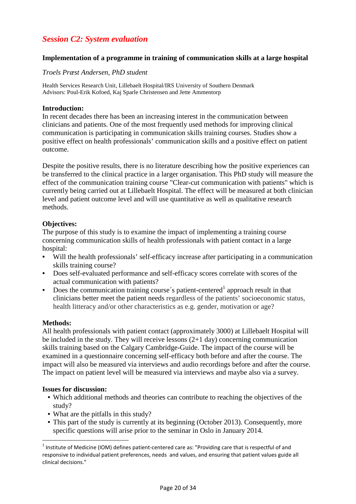## *Session C2: System evaluation*

## **Implementation of a programme in training of communication skills at a large hospital**

## *Troels Præst Andersen, PhD student*

Health Services Research Unit, Lillebaelt Hospital/IRS University of Southern Denmark Advisors: Poul-Erik Kofoed, Kaj Sparle Christensen and Jette Ammentorp

## **Introduction:**

In recent decades there has been an increasing interest in the communication between clinicians and patients. One of the most frequently used methods for improving clinical communication is participating in communication skills training courses. Studies show a positive effect on health professionals' communication skills and a positive effect on patient outcome.

Despite the positive results, there is no literature describing how the positive experiences can be transferred to the clinical practice in a larger organisation. This PhD study will measure the effect of the communication training course "Clear-cut communication with patients" which is currently being carried out at Lillebaelt Hospital. The effect will be measured at both clinician level and patient outcome level and will use quantitative as well as qualitative research methods.

## **Objectives:**

The purpose of this study is to examine the impact of implementing a training course concerning communication skills of health professionals with patient contact in a large hospital:

- Will the health professionals' self-efficacy increase after participating in a communication skills training course?
- Does self-evaluated performance and self-efficacy scores correlate with scores of the actual communication with patients?
- Does the communication training course's patient-centered<sup>1</sup> approach result in that clinicians better meet the patient needs regardless of the patients' socioeconomic status, health litteracy and/or other characteristics as e.g. gender, motivation or age?

## **Methods:**

 $\overline{a}$ 

All health professionals with patient contact (approximately 3000) at Lillebaelt Hospital will be included in the study. They will receive lessons  $(2+1)$  day) concerning communication skills training based on the Calgary Cambridge-Guide. The impact of the course will be examined in a questionnaire concerning self-efficacy both before and after the course. The impact will also be measured via interviews and audio recordings before and after the course. The impact on patient level will be measured via interviews and maybe also via a survey.

## **Issues for discussion:**

- Which additional methods and theories can contribute to reaching the objectives of the study?
- What are the pitfalls in this study?
- This part of the study is currently at its beginning (October 2013). Consequently, more specific questions will arise prior to the seminar in Oslo in January 2014.

<sup>&</sup>lt;sup>1</sup> Institute of Medicine (IOM) defines patient-centered care as: "Providing care that is respectful of and responsive to individual patient preferences, needs and values, and ensuring that patient values guide all clinical decisions."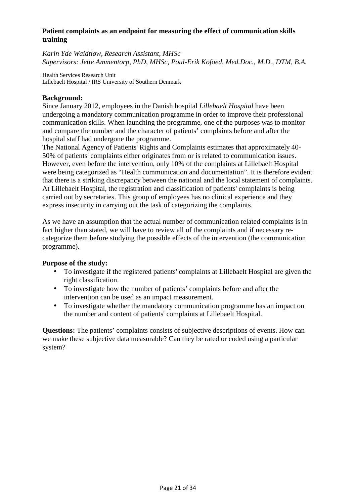## **Patient complaints as an endpoint for measuring the effect of communication skills training**

*Karin Yde Waidtløw, Research Assistant, MHSc Supervisors: Jette Ammentorp, PhD, MHSc, Poul-Erik Kofoed, Med.Doc., M.D., DTM, B.A.* 

Health Services Research Unit Lillebaelt Hospital / IRS University of Southern Denmark

## **Background:**

Since January 2012, employees in the Danish hospital *Lillebaelt Hospital* have been undergoing a mandatory communication programme in order to improve their professional communication skills. When launching the programme, one of the purposes was to monitor and compare the number and the character of patients' complaints before and after the hospital staff had undergone the programme.

The National Agency of Patients' Rights and Complaints estimates that approximately 40- 50% of patients' complaints either originates from or is related to communication issues. However, even before the intervention, only 10% of the complaints at Lillebaelt Hospital were being categorized as "Health communication and documentation". It is therefore evident that there is a striking discrepancy between the national and the local statement of complaints. At Lillebaelt Hospital, the registration and classification of patients' complaints is being carried out by secretaries. This group of employees has no clinical experience and they express insecurity in carrying out the task of categorizing the complaints.

As we have an assumption that the actual number of communication related complaints is in fact higher than stated, we will have to review all of the complaints and if necessary recategorize them before studying the possible effects of the intervention (the communication programme).

## **Purpose of the study:**

- To investigate if the registered patients' complaints at Lillebaelt Hospital are given the right classification.
- To investigate how the number of patients' complaints before and after the intervention can be used as an impact measurement.
- To investigate whether the mandatory communication programme has an impact on the number and content of patients' complaints at Lillebaelt Hospital.

**Questions:** The patients' complaints consists of subjective descriptions of events. How can we make these subjective data measurable? Can they be rated or coded using a particular system?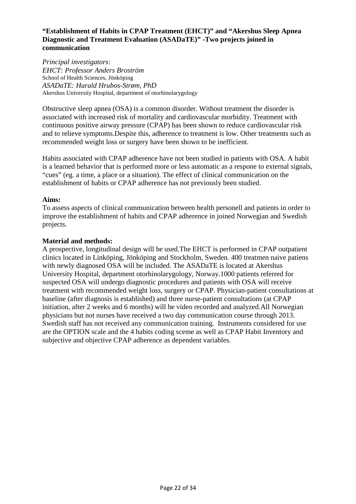## **"Establishment of Habits in CPAP Treatment (EHCT)" and "Akershus Sleep Apnea Diagnostic and Treatment Evaluation (ASADaTE)" -Two projects joined in communication**

*Principal investigators: EHCT: Professor Anders Broström*  School of Health Sciences, Jönköping *ASADaTE: Harald Hrubos-Strøm, PhD*  Akershus University Hospital, department of otorhinolarygology

Obstructive sleep apnea (OSA) is a common disorder. Without treatment the disorder is associated with increased risk of mortality and cardiovascular morbidity. Treatment with continuous positive airway pressure (CPAP) has been shown to reduce cardiovascular risk and to relieve symptoms.Despite this, adherence to treatment is low. Other treatments such as recommended weight loss or surgery have been shown to be inefficient.

Habits associated with CPAP adherence have not been studied in patients with OSA. A habit is a learned behavior that is performed more or less automatic as a respone to external signals, "cues" (eg. a time, a place or a situation). The effect of clinical communication on the establishment of habits or CPAP adherence has not previously been studied.

## **Aims:**

To assess aspects of clinical communication between health personell and patients in order to improve the establishment of habits and CPAP adherence in joined Norwegian and Swedish projects.

## **Material and methods:**

A prospective, longitudinal design will be used.The EHCT is performed in CPAP outpatient clinics located in Linköping, Jönköping and Stockholm, Sweden. 400 treatmen naive patiens with newly diagnosed OSA will be included. The ASADaTE is located at Akershus University Hospital, department otorhinolarygology, Norway.1000 patients referred for suspected OSA will undergo diagnostic procedures and patients with OSA will receive treatment with recommended weight loss, surgery or CPAP. Physician-patient consultations at baseline (after diagnosis is established) and three nurse-patient consultations (at CPAP initiation, after 2 weeks and 6 months) will be video recorded and analyzed.All Norwegian physicians but not nurses have received a two day communication course through 2013. Swedish staff has not received any communication training. Instruments considered for use are the OPTION scale and the 4 habits coding sceme as well as CPAP Habit Inventory and subjective and objective CPAP adherence as dependent variables.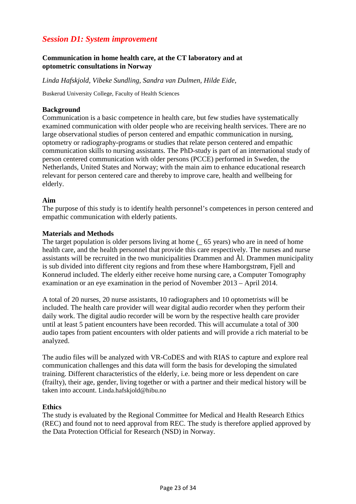## *Session D1: System improvement*

## **Communication in home health care, at the CT laboratory and at optometric consultations in Norway**

*Linda Hafskjold, Vibeke Sundling, Sandra van Dulmen, Hilde Eide,* 

Buskerud University College, Faculty of Health Sciences

## **Background**

Communication is a basic competence in health care, but few studies have systematically examined communication with older people who are receiving health services. There are no large observational studies of person centered and empathic communication in nursing, optometry or radiography-programs or studies that relate person centered and empathic communication skills to nursing assistants. The PhD-study is part of an international study of person centered communication with older persons (PCCE) performed in Sweden, the Netherlands, United States and Norway; with the main aim to enhance educational research relevant for person centered care and thereby to improve care, health and wellbeing for elderly.

### **Aim**

The purpose of this study is to identify health personnel's competences in person centered and empathic communication with elderly patients.

### **Materials and Methods**

The target population is older persons living at home (\_ 65 years) who are in need of home health care, and the health personnel that provide this care respectively. The nurses and nurse assistants will be recruited in the two municipalities Drammen and Ål. Drammen municipality is sub divided into different city regions and from these where Hamborgstrøm, Fjell and Konnerud included. The elderly either receive home nursing care, a Computer Tomography examination or an eye examination in the period of November 2013 – April 2014.

A total of 20 nurses, 20 nurse assistants, 10 radiographers and 10 optometrists will be included. The health care provider will wear digital audio recorder when they perform their daily work. The digital audio recorder will be worn by the respective health care provider until at least 5 patient encounters have been recorded. This will accumulate a total of 300 audio tapes from patient encounters with older patients and will provide a rich material to be analyzed.

The audio files will be analyzed with VR-CoDES and with RIAS to capture and explore real communication challenges and this data will form the basis for developing the simulated training. Different characteristics of the elderly, i.e. being more or less dependent on care (frailty), their age, gender, living together or with a partner and their medical history will be taken into account. Linda.hafskjold@hibu.no

#### **Ethics**

The study is evaluated by the Regional Committee for Medical and Health Research Ethics (REC) and found not to need approval from REC. The study is therefore applied approved by the Data Protection Official for Research (NSD) in Norway.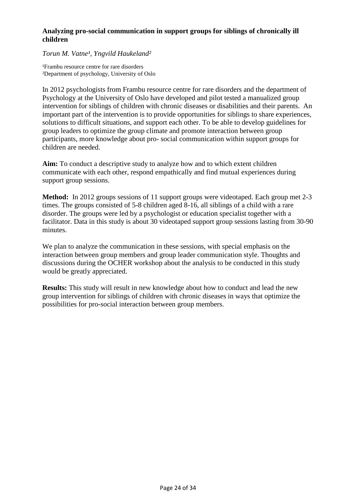## **Analyzing pro-social communication in support groups for siblings of chronically ill children**

## *Torun M. Vatne¹, Yngvild Haukeland²*

<sup>1</sup>Frambu resource centre for rare disorders ²Department of psychology, University of Oslo

In 2012 psychologists from Frambu resource centre for rare disorders and the department of Psychology at the University of Oslo have developed and pilot tested a manualized group intervention for siblings of children with chronic diseases or disabilities and their parents. An important part of the intervention is to provide opportunities for siblings to share experiences, solutions to difficult situations, and support each other. To be able to develop guidelines for group leaders to optimize the group climate and promote interaction between group participants, more knowledge about pro- social communication within support groups for children are needed.

**Aim:** To conduct a descriptive study to analyze how and to which extent children communicate with each other, respond empathically and find mutual experiences during support group sessions.

**Method:** In 2012 groups sessions of 11 support groups were videotaped. Each group met 2-3 times. The groups consisted of 5-8 children aged 8-16, all siblings of a child with a rare disorder. The groups were led by a psychologist or education specialist together with a facilitator. Data in this study is about 30 videotaped support group sessions lasting from 30-90 minutes.

We plan to analyze the communication in these sessions, with special emphasis on the interaction between group members and group leader communication style. Thoughts and discussions during the OCHER workshop about the analysis to be conducted in this study would be greatly appreciated.

**Results:** This study will result in new knowledge about how to conduct and lead the new group intervention for siblings of children with chronic diseases in ways that optimize the possibilities for pro-social interaction between group members.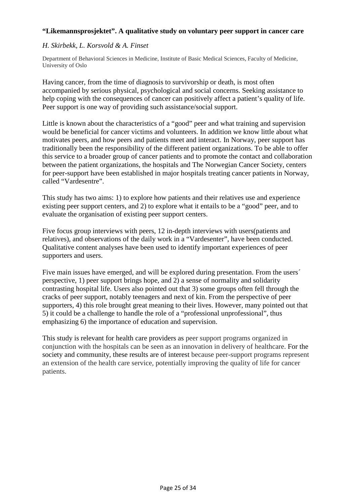## **"Likemannsprosjektet". A qualitative study on voluntary peer support in cancer care**

## *H. Skirbekk, L. Korsvold & A. Finset*

Department of Behavioral Sciences in Medicine, Institute of Basic Medical Sciences, Faculty of Medicine, University of Oslo

Having cancer, from the time of diagnosis to survivorship or death, is most often accompanied by serious physical, psychological and social concerns. Seeking assistance to help coping with the consequences of cancer can positively affect a patient's quality of life. Peer support is one way of providing such assistance/social support.

Little is known about the characteristics of a "good" peer and what training and supervision would be beneficial for cancer victims and volunteers. In addition we know little about what motivates peers, and how peers and patients meet and interact. In Norway, peer support has traditionally been the responsibility of the different patient organizations. To be able to offer this service to a broader group of cancer patients and to promote the contact and collaboration between the patient organizations, the hospitals and The Norwegian Cancer Society, centers for peer-support have been established in major hospitals treating cancer patients in Norway, called "Vardesentre".

This study has two aims: 1) to explore how patients and their relatives use and experience existing peer support centers, and 2) to explore what it entails to be a "good" peer, and to evaluate the organisation of existing peer support centers.

Five focus group interviews with peers, 12 in-depth interviews with users(patients and relatives), and observations of the daily work in a "Vardesenter", have been conducted. Qualitative content analyses have been used to identify important experiences of peer supporters and users.

Five main issues have emerged, and will be explored during presentation. From the users<sup> $\checkmark$ </sup> perspective, 1) peer support brings hope, and 2) a sense of normality and solidarity contrasting hospital life. Users also pointed out that 3) some groups often fell through the cracks of peer support, notably teenagers and next of kin. From the perspective of peer supporters, 4) this role brought great meaning to their lives. However, many pointed out that 5) it could be a challenge to handle the role of a "professional unprofessional", thus emphasizing 6) the importance of education and supervision.

This study is relevant for health care providers as peer support programs organized in conjunction with the hospitals can be seen as an innovation in delivery of healthcare. For the society and community, these results are of interest because peer-support programs represent an extension of the health care service, potentially improving the quality of life for cancer patients.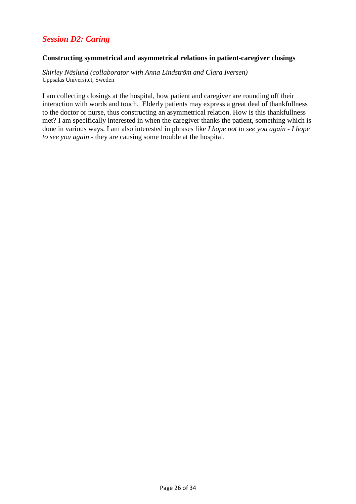## *Session D2: Caring*

### **Constructing symmetrical and asymmetrical relations in patient-caregiver closings**

*Shirley Näslund (collaborator with Anna Lindström and Clara Iversen)*  Uppsalas Universitet, Sweden

I am collecting closings at the hospital, how patient and caregiver are rounding off their interaction with words and touch. Elderly patients may express a great deal of thankfullness to the doctor or nurse, thus constructing an asymmetrical relation. How is this thankfullness met? I am specifically interested in when the caregiver thanks the patient, something which is done in various ways. I am also interested in phrases like *I hope not to see you again* - *I hope to see you again* - they are causing some trouble at the hospital.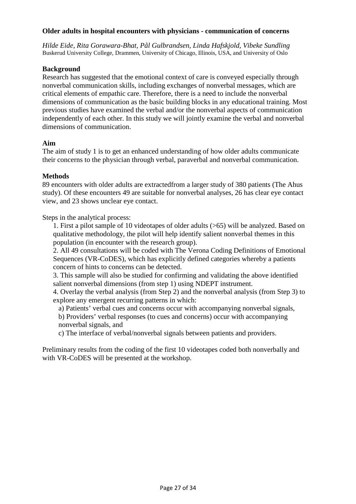## **Older adults in hospital encounters with physicians - communication of concerns**

*Hilde Eide, Rita Gorawara-Bhat, Pål Gulbrandsen, Linda Hafskjold, Vibeke Sundling*  Buskerud University College, Drammen, University of Chicago, Illinois, USA, and University of Oslo

## **Background**

Research has suggested that the emotional context of care is conveyed especially through nonverbal communication skills, including exchanges of nonverbal messages, which are critical elements of empathic care. Therefore, there is a need to include the nonverbal dimensions of communication as the basic building blocks in any educational training. Most previous studies have examined the verbal and/or the nonverbal aspects of communication independently of each other. In this study we will jointly examine the verbal and nonverbal dimensions of communication.

## **Aim**

The aim of study 1 is to get an enhanced understanding of how older adults communicate their concerns to the physician through verbal, paraverbal and nonverbal communication.

## **Methods**

89 encounters with older adults are extractedfrom a larger study of 380 patients (The Ahus study). Of these encounters 49 are suitable for nonverbal analyses, 26 has clear eye contact view, and 23 shows unclear eye contact.

Steps in the analytical process:

1. First a pilot sample of 10 videotapes of older adults (>65) will be analyzed. Based on qualitative methodology, the pilot will help identify salient nonverbal themes in this population (in encounter with the research group).

2. All 49 consultations will be coded with The Verona Coding Definitions of Emotional Sequences (VR-CoDES), which has explicitly defined categories whereby a patients concern of hints to concerns can be detected.

3. This sample will also be studied for confirming and validating the above identified salient nonverbal dimensions (from step 1) using NDEPT instrument.

4. Overlay the verbal analysis (from Step 2) and the nonverbal analysis (from Step 3) to explore any emergent recurring patterns in which:

a) Patients' verbal cues and concerns occur with accompanying nonverbal signals,

b) Providers' verbal responses (to cues and concerns) occur with accompanying nonverbal signals, and

c) The interface of verbal/nonverbal signals between patients and providers.

Preliminary results from the coding of the first 10 videotapes coded both nonverbally and with VR-CoDES will be presented at the workshop.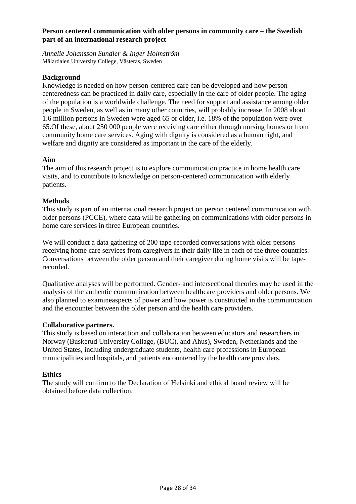## **Person centered communication with older persons in community care – the Swedish part of an international research project**

*Annelie Johansson Sundler & Inger Holmström*  Mälardalen University College, Västerås, Sweden

## **Background**

Knowledge is needed on how person-centered care can be developed and how personcenteredness can be practiced in daily care, especially in the care of older people. The aging of the population is a worldwide challenge. The need for support and assistance among older people in Sweden, as well as in many other countries, will probably increase. In 2008 about 1.6 million persons in Sweden were aged 65 or older, i.e. 18% of the population were over 65.Of these, about 250 000 people were receiving care either through nursing homes or from community home care services. Aging with dignity is considered as a human right, and welfare and dignity are considered as important in the care of the elderly.

## **Aim**

The aim of this research project is to explore communication practice in home health care visits, and to contribute to knowledge on person-centered communication with elderly patients.

## **Methods**

This study is part of an international research project on person centered communication with older persons (PCCE), where data will be gathering on communications with older persons in home care services in three European countries.

We will conduct a data gathering of 200 tape-recorded conversations with older persons receiving home care services from caregivers in their daily life in each of the three countries. Conversations between the older person and their caregiver during home visits will be taperecorded.

Qualitative analyses will be performed. Gender- and intersectional theories may be used in the analysis of the authentic communication between healthcare providers and older persons. We also planned to examineaspects of power and how power is constructed in the communication and the encounter between the older person and the health care providers.

## **Collaborative partners.**

This study is based on interaction and collaboration between educators and researchers in Norway (Buskerud University Collage, (BUC), and Ahus), Sweden, Netherlands and the United States, including undergraduate students, health care professions in European municipalities and hospitals, and patients encountered by the health care providers.

## **Ethics**

The study will confirm to the Declaration of Helsinki and ethical board review will be obtained before data collection.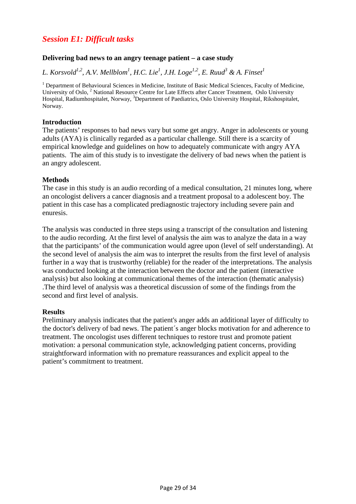## *Session E1: Difficult tasks*

## **Delivering bad news to an angry teenage patient – a case study**

 $L$ . Korsvold<sup>1,2</sup>, A.V. Mellblom<sup>1</sup>, H.C. Lie<sup>1</sup>, J.H. Loge<sup>1,2</sup>, E. Ruud<sup>3</sup> & A. Finset<sup>1</sup>

<sup>1</sup> Department of Behavioural Sciences in Medicine, Institute of Basic Medical Sciences, Faculty of Medicine, University of Oslo, <sup>2</sup> National Resource Centre for Late Effects after Cancer Treatment, Oslo University Hospital, Radiumhospitalet, Norway, <sup>3</sup>Department of Paediatrics, Oslo University Hospital, Rikshospitalet, Norway.

## **Introduction**

The patients' responses to bad news vary but some get angry. Anger in adolescents or young adults (AYA) is clinically regarded as a particular challenge. Still there is a scarcity of empirical knowledge and guidelines on how to adequately communicate with angry AYA patients. The aim of this study is to investigate the delivery of bad news when the patient is an angry adolescent.

## **Methods**

The case in this study is an audio recording of a medical consultation, 21 minutes long, where an oncologist delivers a cancer diagnosis and a treatment proposal to a adolescent boy. The patient in this case has a complicated prediagnostic trajectory including severe pain and enuresis.

The analysis was conducted in three steps using a transcript of the consultation and listening to the audio recording. At the first level of analysis the aim was to analyze the data in a way that the participants' of the communication would agree upon (level of self understanding). At the second level of analysis the aim was to interpret the results from the first level of analysis further in a way that is trustworthy (reliable) for the reader of the interpretations. The analysis was conducted looking at the interaction between the doctor and the patient (interactive analysis) but also looking at communicational themes of the interaction (thematic analysis) .The third level of analysis was a theoretical discussion of some of the findings from the second and first level of analysis.

#### **Results**

Preliminary analysis indicates that the patient's anger adds an additional layer of difficulty to the doctor's delivery of bad news. The patient´s anger blocks motivation for and adherence to treatment. The oncologist uses different techniques to restore trust and promote patient motivation: a personal communication style, acknowledging patient concerns, providing straightforward information with no premature reassurances and explicit appeal to the patient's commitment to treatment.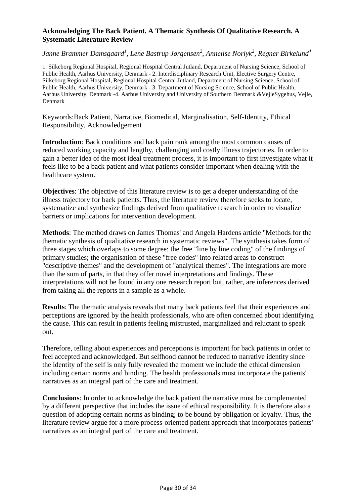## **Acknowledging The Back Patient. A Thematic Synthesis Of Qualitative Research. A Systematic Literature Review**

*Janne Brammer Damsgaard<sup>1</sup> , Lene Bastrup Jørgensen<sup>2</sup> , Annelise Norlyk<sup>2</sup> , Regner Birkelund<sup>4</sup>*

1. Silkeborg Regional Hospital, Regional Hospital Central Jutland, Department of Nursing Science, School of Public Health, Aarhus University, Denmark - 2. Interdisciplinary Research Unit, Elective Surgery Centre, Silkeborg Regional Hospital, Regional Hospital Central Jutland, Department of Nursing Science, School of Public Health, Aarhus University, Denmark - 3. Department of Nursing Science, School of Public Health, Aarhus University, Denmark -4. Aarhus University and University of Southern Denmark &VejleSygehus, Vejle, Denmark

Keywords:Back Patient, Narrative, Biomedical, Marginalisation, Self-Identity, Ethical Responsibility, Acknowledgement

**Introduction**: Back conditions and back pain rank among the most common causes of reduced working capacity and lengthy, challenging and costly illness trajectories. In order to gain a better idea of the most ideal treatment process, it is important to first investigate what it feels like to be a back patient and what patients consider important when dealing with the healthcare system.

**Objectives**: The objective of this literature review is to get a deeper understanding of the illness trajectory for back patients. Thus, the literature review therefore seeks to locate, systematize and synthesize findings derived from qualitative research in order to visualize barriers or implications for intervention development.

**Methods**: The method draws on James Thomas' and Angela Hardens article "Methods for the thematic synthesis of qualitative research in systematic reviews". The synthesis takes form of three stages which overlaps to some degree: the free "line by line coding" of the findings of primary studies; the organisation of these "free codes" into related areas to construct "descriptive themes" and the development of "analytical themes". The integrations are more than the sum of parts, in that they offer novel interpretations and findings. These interpretations will not be found in any one research report but, rather, are inferences derived from taking all the reports in a sample as a whole.

**Results**: The thematic analysis reveals that many back patients feel that their experiences and perceptions are ignored by the health professionals, who are often concerned about identifying the cause. This can result in patients feeling mistrusted, marginalized and reluctant to speak out.

Therefore, telling about experiences and perceptions is important for back patients in order to feel accepted and acknowledged. But selfhood cannot be reduced to narrative identity since the identity of the self is only fully revealed the moment we include the ethical dimension including certain norms and binding. The health professionals must incorporate the patients' narratives as an integral part of the care and treatment.

**Conclusions**: In order to acknowledge the back patient the narrative must be complemented by a different perspective that includes the issue of ethical responsibility. It is therefore also a question of adopting certain norms as binding; to be bound by obligation or loyalty. Thus, the literature review argue for a more process-oriented patient approach that incorporates patients' narratives as an integral part of the care and treatment.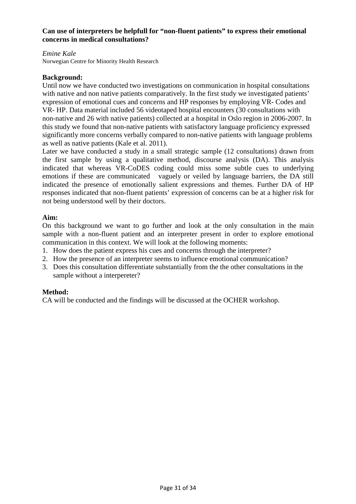## **Can use of interpreters be helpfull for "non-fluent patients" to express their emotional concerns in medical consultations?**

## *Emine Kale*

Norwegian Centre for Minority Health Research

## **Background:**

Until now we have conducted two investigations on communication in hospital consultations with native and non native patients comparatively. In the first study we investigated patients' expression of emotional cues and concerns and HP responses by employing VR- Codes and VR- HP. Data material included 56 videotaped hospital encounters (30 consultations with non-native and 26 with native patients) collected at a hospital in Oslo region in 2006-2007. In this study we found that non-native patients with satisfactory language proficiency expressed significantly more concerns verbally compared to non-native patients with language problems as well as native patients (Kale et al. 2011).

Later we have conducted a study in a small strategic sample (12 consultations) drawn from the first sample by using a qualitative method, discourse analysis (DA). This analysis indicated that whereas VR-CoDES coding could miss some subtle cues to underlying emotions if these are communicated vaguely or veiled by language barriers, the DA still indicated the presence of emotionally salient expressions and themes. Further DA of HP responses indicated that non-fluent patients' expression of concerns can be at a higher risk for not being understood well by their doctors.

## **Aim:**

On this background we want to go further and look at the only consultation in the main sample with a non-fluent patient and an interpreter present in order to explore emotional communication in this context. We will look at the following moments:

- 1. How does the patient express his cues and concerns through the interpreter?
- 2. How the presence of an interpreter seems to influence emotional communication?
- 3. Does this consultation differentiate substantially from the the other consultations in the sample without a interpereter?

## **Method:**

CA will be conducted and the findings will be discussed at the OCHER workshop.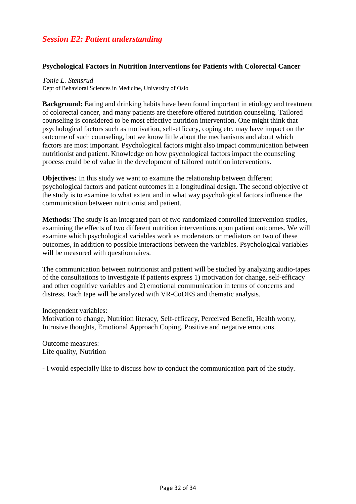## *Session E2: Patient understanding*

## **Psychological Factors in Nutrition Interventions for Patients with Colorectal Cancer**

*Tonje L. Stensrud*  Dept of Behavioral Sciences in Medicine, University of Oslo

**Background:** Eating and drinking habits have been found important in etiology and treatment of colorectal cancer, and many patients are therefore offered nutrition counseling. Tailored counseling is considered to be most effective nutrition intervention. One might think that psychological factors such as motivation, self-efficacy, coping etc. may have impact on the outcome of such counseling, but we know little about the mechanisms and about which factors are most important. Psychological factors might also impact communication between nutritionist and patient. Knowledge on how psychological factors impact the counseling process could be of value in the development of tailored nutrition interventions.

**Objectives:** In this study we want to examine the relationship between different psychological factors and patient outcomes in a longitudinal design. The second objective of the study is to examine to what extent and in what way psychological factors influence the communication between nutritionist and patient.

**Methods:** The study is an integrated part of two randomized controlled intervention studies, examining the effects of two different nutrition interventions upon patient outcomes. We will examine which psychological variables work as moderators or mediators on two of these outcomes, in addition to possible interactions between the variables. Psychological variables will be measured with questionnaires.

The communication between nutritionist and patient will be studied by analyzing audio-tapes of the consultations to investigate if patients express 1) motivation for change, self-efficacy and other cognitive variables and 2) emotional communication in terms of concerns and distress. Each tape will be analyzed with VR-CoDES and thematic analysis.

Independent variables:

Motivation to change, Nutrition literacy, Self-efficacy, Perceived Benefit, Health worry, Intrusive thoughts, Emotional Approach Coping, Positive and negative emotions.

Outcome measures: Life quality, Nutrition

- I would especially like to discuss how to conduct the communication part of the study.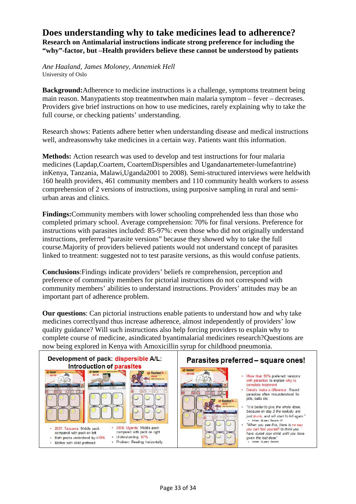## **Does understanding why to take medicines lead to adherence? Research on Antimalarial instructions indicate strong preference for including the "why"-factor, but –Health providers believe these cannot be understood by patients**

*Ane Haaland, James Moloney, Annemiek Hell*  University of Oslo

**Background:**Adherence to medicine instructions is a challenge, symptoms treatment being main reason. Manypatients stop treatmentwhen main malaria symptom – fever – decreases. Providers give brief instructions on how to use medicines, rarely explaining why to take the full course, or checking patients' understanding.

Research shows: Patients adhere better when understanding disease and medical instructions well, andreasonswhy take medicines in a certain way. Patients want this information.

**Methods:** Action research was used to develop and test instructions for four malaria medicines (Lapdap,Coartem, CoartemDispersibles and Ugandanartemeter-lumefantrine) inKenya, Tanzania, Malawi,Uganda2001 to 2008). Semi-structured interviews were heldwith 160 health providers, 461 community members and 110 community health workers to assess comprehension of 2 versions of instructions, using purposive sampling in rural and semiurban areas and clinics.

**Findings:**Community members with lower schooling comprehended less than those who completed primary school. Average comprehension: 70% for final versions. Preference for instructions with parasites included: 85-97%: even those who did not originally understand instructions, preferred "parasite versions" because they showed why to take the full course.Majority of providers believed patients would not understand concept of parasites linked to treatment: suggested not to test parasite versions, as this would confuse patients.

**Conclusions**:Findings indicate providers' beliefs re comprehension, perception and preference of community members for pictorial instructions do not correspond with community members' abilities to understand instructions. Providers' attitudes may be an important part of adherence problem.

**Our questions**: Can pictorial instructions enable patients to understand how and why take medicines correctlyand thus increase adherence, almost independently of providers' low quality guidance? Will such instructions also help forcing providers to explain why to complete course of medicine, asindicated byantimalarial medicines research?Questions are now being explored in Kenya with Amoxicillin syrup for childhood pneumonia.



## Parasites preferred - square ones!



- More than 95% preferred versions with parasites to explain why to complete treatment
- Details make a difference: Round parasites often misunderstood for pills, balls etc
- "It is better to give the whole dose, because on day 2 the wadudu are just drunk, and will start to kill again." Woman, 20 years, Tanzania -07
- "When you see this, there is no way you can fool yourself to think you have cured your child, until you have given the last dose" Woman, 32 years, Tanzania